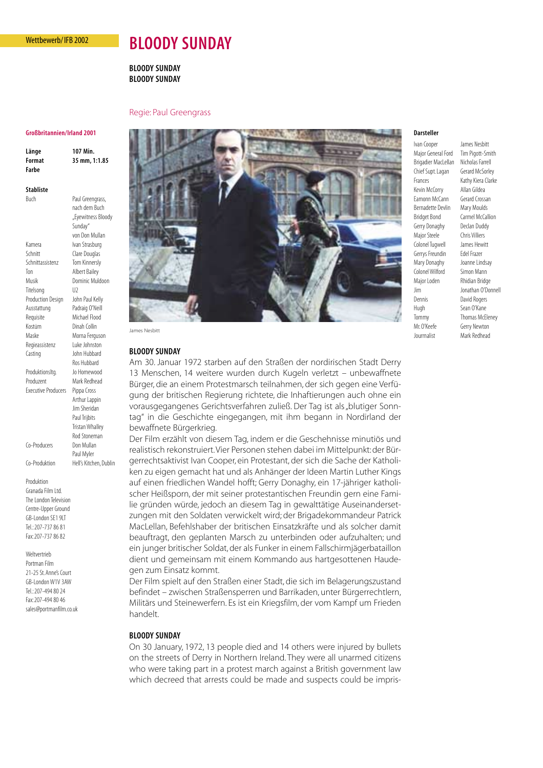## Wettbewerb/ IFB 2002

# **BLOODY SUNDAY**

# **BLOODY SUNDAY BLOODY SUNDAY**

## Regie: Paul Greengrass

#### **Großbritannien/Irland 2001**

**Länge 107 Min. Format 35 mm, 1:1.85 Farbe** 

Buch Paul Greengrass,

## **Stabliste**

nach dem Buch "Eyewitness Bloody Sunday" von Don Mullan Kamera Ivan Strasburg Schnitt Clare Douglas Schnittassistenz Tom Kinnersly Ton Albert Bailey Musik Dominic Muldoon Titelsong U2 Production Design John Paul Kelly Ausstattung Padraig O'Neill Requisite Michael Flood Kostüm Dinah Collin Maske Morna Ferguson Regieassistenz Luke Johnston Casting John Hubbard Ros Hubbard Produktionsltg. Jo Homewood Produzent Mark Redhead Executive Producers Pippa Cross Arthur Lappin Jim Sheridan Paul Trijbits Tristan Whalley Rod Stoneman Co-Producers Don Mullan Paul Myler Co-Produktion Hell's Kitchen, Dublin

Produktion Granada Film Ltd. The London Television Centre-Upper Ground GB-London SE1 9LT Tel.: 207-737 86 81 Fax: 207-737 86 82

Weltvertrieb Portman Film 21-25 St. Anne's Court GB-London W1V 3AW Tel.: 207-494 80 24 Fax: 207-494 80 46 sales@portmanfilm.co.uk



James Nesbit

### **BLOODY SUNDAY**

Am 30. Januar 1972 starben auf den Straßen der nordirischen Stadt Derry 13 Menschen, 14 weitere wurden durch Kugeln verletzt – unbewaffnete Bürger, die an einem Protestmarsch teilnahmen, der sich gegen eine Verfügung der britischen Regierung richtete, die Inhaftierungen auch ohne ein vorausgegangenes Gerichtsverfahren zuließ. Der Tag ist als "blutiger Sonntag" in die Geschichte eingegangen, mit ihm begann in Nordirland der bewaffnete Bürgerkrieg.

Der Film erzählt von diesem Tag, indem er die Geschehnisse minutiös und realistisch rekonstruiert.Vier Personen stehen dabei im Mittelpunkt: der Bürgerrechtsaktivist Ivan Cooper, ein Protestant, der sich die Sache der Katholiken zu eigen gemacht hat und als Anhänger der Ideen Martin Luther Kings auf einen friedlichen Wandel hofft; Gerry Donaghy, ein 17-jähriger katholischer Heißsporn, der mit seiner protestantischen Freundin gern eine Familie gründen würde, jedoch an diesem Tag in gewalttätige Auseinandersetzungen mit den Soldaten verwickelt wird; der Brigadekommandeur Patrick MacLellan, Befehlshaber der britischen Einsatzkräfte und als solcher damit beauftragt, den geplanten Marsch zu unterbinden oder aufzuhalten; und ein junger britischer Soldat, der als Funker in einem Fallschirmjägerbataillon dient und gemeinsam mit einem Kommando aus hartgesottenen Haudegen zum Einsatz kommt.

Der Film spielt auf den Straßen einer Stadt, die sich im Belagerungszustand befindet – zwischen Straßensperren und Barrikaden, unter Bürgerrechtlern, Militärs und Steinewerfern. Es ist ein Kriegsfilm, der vom Kampf um Frieden handelt.

# **BLOODY SUNDAY**

On 30 January, 1972, 13 people died and 14 others were injured by bullets on the streets of Derry in Northern Ireland. They were all unarmed citizens who were taking part in a protest march against a British government law which decreed that arrests could be made and suspects could be impris-

#### **Darsteller**

Major General Ford Tim Pigott-Smith Brigadier MacLellan Nicholas Farrell Chief Supt. Lagan Gerard McSorley Frances Kathy Kiera Clarke Kevin McCorry Allan Gildea Eamonn McCann Gerard Crossan Bernadette Devlin Mary Moulds Bridget Bond Carmel McCallion Gerry Donaghy Declan Duddy Major Steele Chris Villiers Colonel Tugwell James Hewitt Gerrys Freundin Edel Frazer Mary Donaghy Joanne Lindsay Colonel Wilford Simon Mann Major Loden Rhidian Bridge Jim Jonathan O'Donnell Dennis David Rogers Hugh Sean O'Kane Tommy Thomas McEleney Mr. O'Keefe Gerry Newton Jourrnalist Mark Redhead

Ivan Cooper James Nesbitt